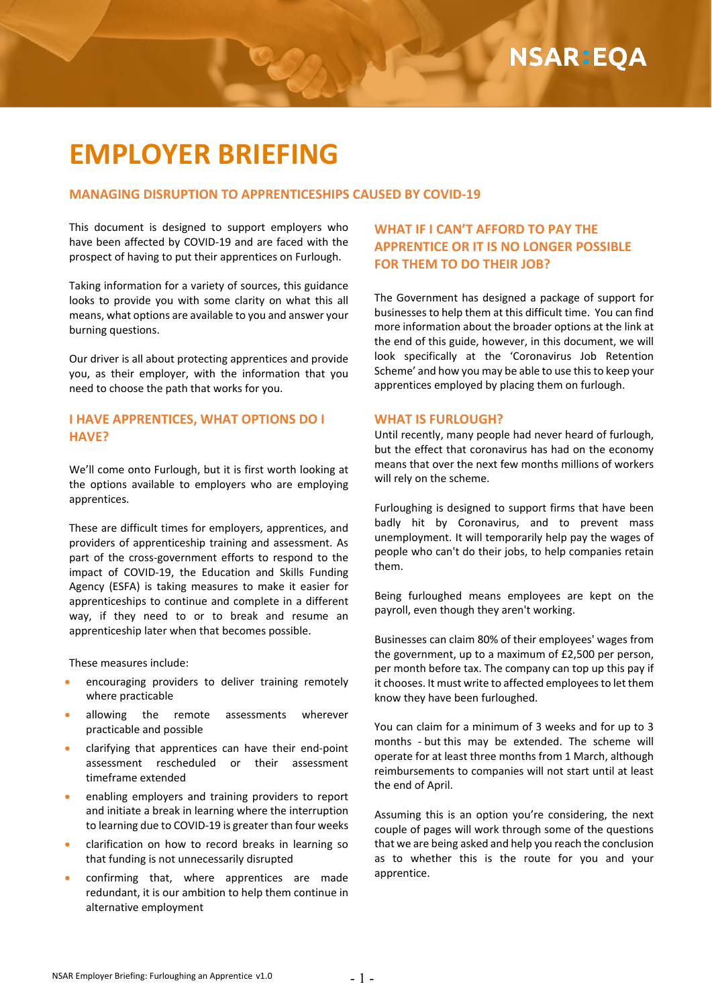# **EMPLOYER BRIEFING**

#### **MANAGING DISRUPTION TO APPRENTICESHIPS CAUSED BY COVID-19**

This document is designed to support employers who have been affected by COVID-19 and are faced with the prospect of having to put their apprentices on Furlough.

Taking information for a variety of sources, this guidance looks to provide you with some clarity on what this all means, what options are available to you and answer your burning questions.

Our driver is all about protecting apprentices and provide you, as their employer, with the information that you need to choose the path that works for you.

# **I HAVE APPRENTICES, WHAT OPTIONS DO I HAVE?**

We'll come onto Furlough, but it is first worth looking at the options available to employers who are employing apprentices.

These are difficult times for employers, apprentices, and providers of apprenticeship training and assessment. As part of the cross-government efforts to respond to the impact of COVID-19, the Education and Skills Funding Agency (ESFA) is taking measures to make it easier for apprenticeships to continue and complete in a different way, if they need to or to break and resume an apprenticeship later when that becomes possible.

These measures include:

- encouraging providers to deliver training remotely where practicable
- allowing the remote assessments wherever practicable and possible
- clarifying that apprentices can have their end-point assessment rescheduled or their assessment timeframe extended
- enabling employers and training providers to report and initiate a break in learning where the interruption to learning due to COVID-19 is greater than four weeks
- clarification on how to record breaks in learning so that funding is not unnecessarily disrupted
- confirming that, where apprentices are made redundant, it is our ambition to help them continue in alternative employment

# **WHAT IF I CAN'T AFFORD TO PAY THE APPRENTICE OR IT IS NO LONGER POSSIBLE FOR THEM TO DO THEIR JOB?**

The Government has designed a package of support for businesses to help them at this difficult time. You can find more information about the broader options at the link at the end of this guide, however, in this document, we will look specifically at the 'Coronavirus Job Retention Scheme' and how you may be able to use this to keep your apprentices employed by placing them on furlough.

#### **WHAT IS FURLOUGH?**

Until recently, many people had never heard of furlough, but the effect that coronavirus has had on the economy means that over the next few months millions of workers will rely on the scheme.

Furloughing is designed to support firms that have been badly hit by Coronavirus, and to prevent mass unemployment. It will temporarily help pay the wages of people who can't do their jobs, to help companies retain them.

Being furloughed means employees are kept on the payroll, even though they aren't working.

Businesses can claim 80% of their employees' wages from the government, up to a maximum of £2,500 per person, per month before tax. The company can top up this pay if it chooses. It must write to affected employees to let them know they have been furloughed.

You can claim for a minimum of 3 weeks and for up to 3 months - but this may be extended. The scheme will operate for at least three months from 1 March, although reimbursements to companies will not start until at least the end of April.

Assuming this is an option you're considering, the next couple of pages will work through some of the questions that we are being asked and help you reach the conclusion as to whether this is the route for you and your apprentice.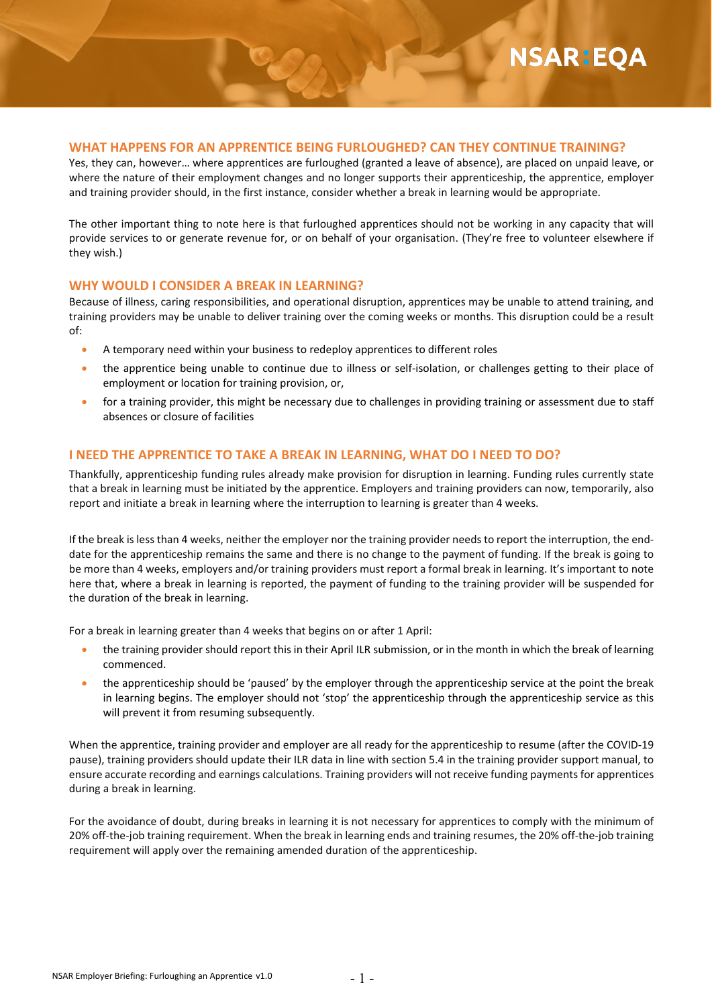#### **WHAT HAPPENS FOR AN APPRENTICE BEING FURLOUGHED? CAN THEY CONTINUE TRAINING?**

Yes, they can, however… where apprentices are furloughed (granted a leave of absence), are placed on unpaid leave, or where the nature of their employment changes and no longer supports their apprenticeship, the apprentice, employer and training provider should, in the first instance, consider whether a break in learning would be appropriate.

The other important thing to note here is that furloughed apprentices should not be working in any capacity that will provide services to or generate revenue for, or on behalf of your organisation. (They're free to volunteer elsewhere if they wish.)

#### **WHY WOULD I CONSIDER A BREAK IN LEARNING?**

Because of illness, caring responsibilities, and operational disruption, apprentices may be unable to attend training, and training providers may be unable to deliver training over the coming weeks or months. This disruption could be a result of:

- A temporary need within your business to redeploy apprentices to different roles
- the apprentice being unable to continue due to illness or self-isolation, or challenges getting to their place of employment or location for training provision, or,
- for a training provider, this might be necessary due to challenges in providing training or assessment due to staff absences or closure of facilities

#### **I NEED THE APPRENTICE TO TAKE A BREAK IN LEARNING, WHAT DO I NEED TO DO?**

Thankfully, apprenticeship funding rules already make provision for disruption in learning. Funding rules currently state that a break in learning must be initiated by the apprentice. Employers and training providers can now, temporarily, also report and initiate a break in learning where the interruption to learning is greater than 4 weeks.

If the break is less than 4 weeks, neither the employer nor the training provider needs to report the interruption, the enddate for the apprenticeship remains the same and there is no change to the payment of funding. If the break is going to be more than 4 weeks, employers and/or training providers must report a formal break in learning. It's important to note here that, where a break in learning is reported, the payment of funding to the training provider will be suspended for the duration of the break in learning.

For a break in learning greater than 4 weeks that begins on or after 1 April:

- the training provider should report this in their April ILR submission, or in the month in which the break of learning commenced.
- the apprenticeship should be 'paused' by the employer through the apprenticeship service at the point the break in learning begins. The employer should not 'stop' the apprenticeship through the apprenticeship service as this will prevent it from resuming subsequently.

When the apprentice, training provider and employer are all ready for the apprenticeship to resume (after the COVID-19 pause), training providers should update their ILR data in line with section 5.4 in the training provider support manual, to ensure accurate recording and earnings calculations. Training providers will not receive funding payments for apprentices during a break in learning.

For the avoidance of doubt, during breaks in learning it is not necessary for apprentices to comply with the minimum of 20% off-the-job training requirement. When the break in learning ends and training resumes, the 20% off-the-job training requirement will apply over the remaining amended duration of the apprenticeship.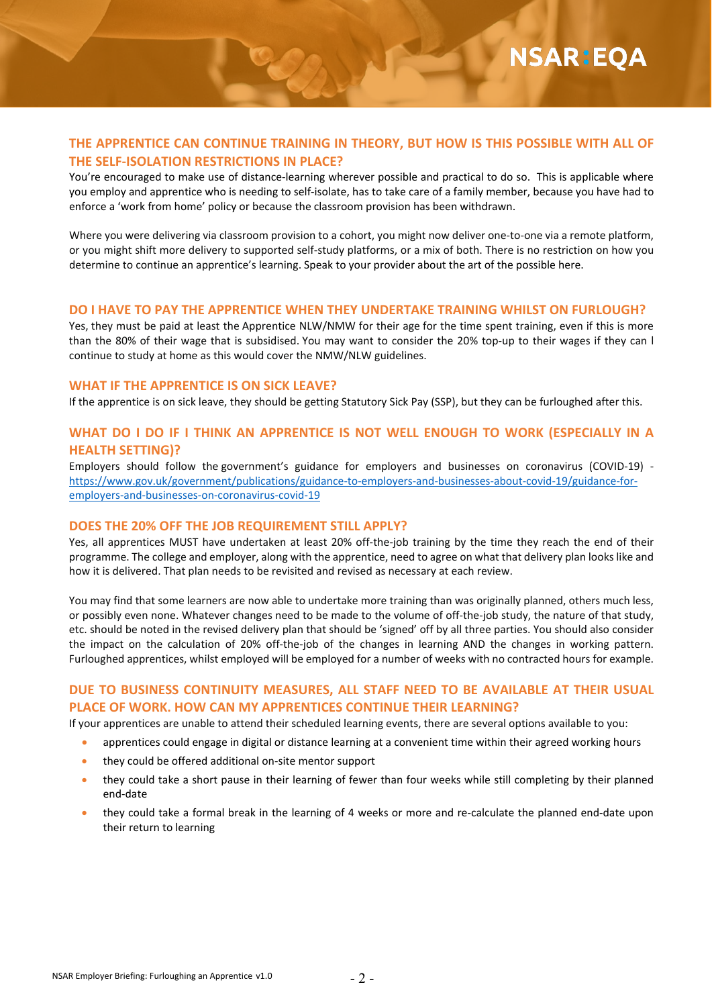# **THE APPRENTICE CAN CONTINUE TRAINING IN THEORY, BUT HOW IS THIS POSSIBLE WITH ALL OF THE SELF-ISOLATION RESTRICTIONS IN PLACE?**

You're encouraged to make use of distance-learning wherever possible and practical to do so. This is applicable where you employ and apprentice who is needing to self-isolate, has to take care of a family member, because you have had to enforce a 'work from home' policy or because the classroom provision has been withdrawn.

Where you were delivering via classroom provision to a cohort, you might now deliver one-to-one via a remote platform, or you might shift more delivery to supported self-study platforms, or a mix of both. There is no restriction on how you determine to continue an apprentice's learning. Speak to your provider about the art of the possible here.

#### **DO I HAVE TO PAY THE APPRENTICE WHEN THEY UNDERTAKE TRAINING WHILST ON FURLOUGH?**

Yes, they must be paid at least the Apprentice NLW/NMW for their age for the time spent training, even if this is more than the 80% of their wage that is subsidised. You may want to consider the 20% top-up to their wages if they can l continue to study at home as this would cover the NMW/NLW guidelines.

#### **WHAT IF THE APPRENTICE IS ON SICK LEAVE?**

If the apprentice is on sick leave, they should be getting Statutory Sick Pay (SSP), but they can be furloughed after this.

### **WHAT DO I DO IF I THINK AN APPRENTICE IS NOT WELL ENOUGH TO WORK (ESPECIALLY IN A HEALTH SETTING)?**

Employers should follow the government's guidance for employers and businesses on coronavirus (COVID-19) [https://www.gov.uk/government/publications/guidance-to-employers-and-businesses-about-covid-19/guidance-for](https://www.gov.uk/government/publications/guidance-to-employers-and-businesses-about-covid-19/guidance-for-employers-and-businesses-on-coronavirus-covid-19)[employers-and-businesses-on-coronavirus-covid-19](https://www.gov.uk/government/publications/guidance-to-employers-and-businesses-about-covid-19/guidance-for-employers-and-businesses-on-coronavirus-covid-19)

#### **DOES THE 20% OFF THE JOB REQUIREMENT STILL APPLY?**

Yes, all apprentices MUST have undertaken at least 20% off-the-job training by the time they reach the end of their programme. The college and employer, along with the apprentice, need to agree on what that delivery plan looks like and how it is delivered. That plan needs to be revisited and revised as necessary at each review.

You may find that some learners are now able to undertake more training than was originally planned, others much less, or possibly even none. Whatever changes need to be made to the volume of off-the-job study, the nature of that study, etc. should be noted in the revised delivery plan that should be 'signed' off by all three parties. You should also consider the impact on the calculation of 20% off-the-job of the changes in learning AND the changes in working pattern. Furloughed apprentices, whilst employed will be employed for a number of weeks with no contracted hours for example.

# **DUE TO BUSINESS CONTINUITY MEASURES, ALL STAFF NEED TO BE AVAILABLE AT THEIR USUAL PLACE OF WORK. HOW CAN MY APPRENTICES CONTINUE THEIR LEARNING?**

If your apprentices are unable to attend their scheduled learning events, there are several options available to you:

- apprentices could engage in digital or distance learning at a convenient time within their agreed working hours
- they could be offered additional on-site mentor support
- they could take a short pause in their learning of fewer than four weeks while still completing by their planned end-date
- they could take a formal break in the learning of 4 weeks or more and re-calculate the planned end-date upon their return to learning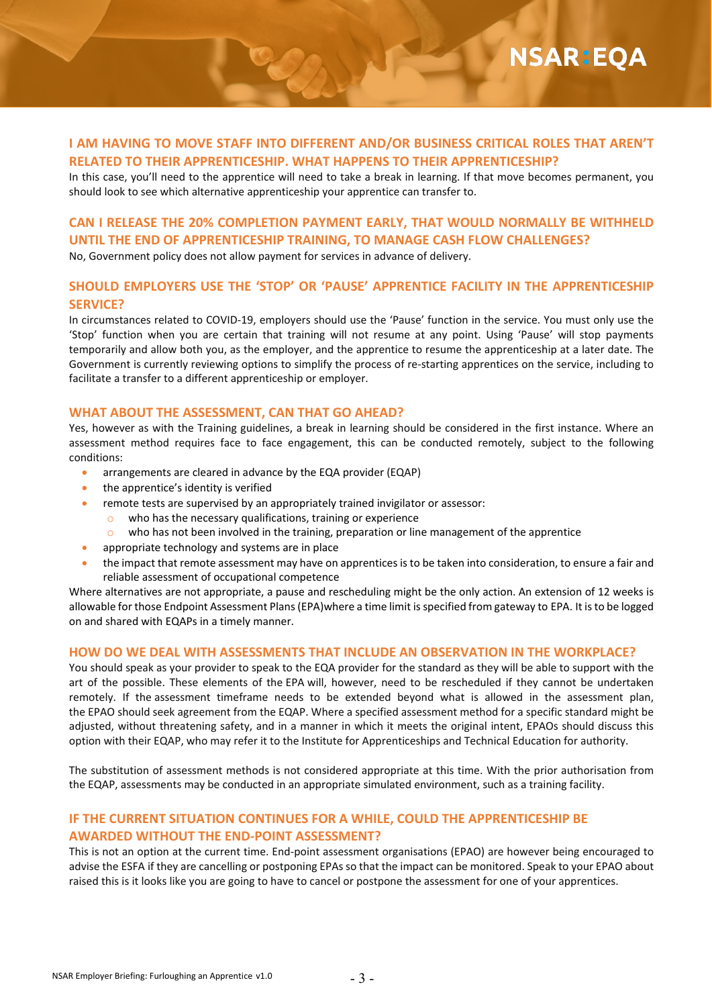# **I AM HAVING TO MOVE STAFF INTO DIFFERENT AND/OR BUSINESS CRITICAL ROLES THAT AREN'T RELATED TO THEIR APPRENTICESHIP. WHAT HAPPENS TO THEIR APPRENTICESHIP?**

In this case, you'll need to the apprentice will need to take a break in learning. If that move becomes permanent, you should look to see which alternative apprenticeship your apprentice can transfer to.

# **CAN I RELEASE THE 20% COMPLETION PAYMENT EARLY, THAT WOULD NORMALLY BE WITHHELD UNTIL THE END OF APPRENTICESHIP TRAINING, TO MANAGE CASH FLOW CHALLENGES?**

No, Government policy does not allow payment for services in advance of delivery.

# **SHOULD EMPLOYERS USE THE 'STOP' OR 'PAUSE' APPRENTICE FACILITY IN THE APPRENTICESHIP SERVICE?**

In circumstances related to COVID-19, employers should use the 'Pause' function in the service. You must only use the 'Stop' function when you are certain that training will not resume at any point. Using 'Pause' will stop payments temporarily and allow both you, as the employer, and the apprentice to resume the apprenticeship at a later date. The Government is currently reviewing options to simplify the process of re-starting apprentices on the service, including to facilitate a transfer to a different apprenticeship or employer.

#### **WHAT ABOUT THE ASSESSMENT, CAN THAT GO AHEAD?**

Yes, however as with the Training guidelines, a break in learning should be considered in the first instance. Where an assessment method requires face to face engagement, this can be conducted remotely, subject to the following conditions:

- arrangements are cleared in advance by the EQA provider (EQAP)
- the apprentice's identity is verified
- remote tests are supervised by an appropriately trained invigilator or assessor:
	- $\circ$  who has the necessary qualifications, training or experience
	- $\circ$  who has not been involved in the training, preparation or line management of the apprentice
- appropriate technology and systems are in place
- the impact that remote assessment may have on apprentices is to be taken into consideration, to ensure a fair and reliable assessment of occupational competence

Where alternatives are not appropriate, a pause and rescheduling might be the only action. An extension of 12 weeks is allowable for those Endpoint Assessment Plans (EPA)where a time limit is specified from gateway to EPA. It is to be logged on and shared with EQAPs in a timely manner.

#### **HOW DO WE DEAL WITH ASSESSMENTS THAT INCLUDE AN OBSERVATION IN THE WORKPLACE?**

You should speak as your provider to speak to the EQA provider for the standard as they will be able to support with the art of the possible. These elements of the EPA will, however, need to be rescheduled if they cannot be undertaken remotely. If the assessment timeframe needs to be extended beyond what is allowed in the assessment plan, the EPAO should seek agreement from the EQAP. Where a specified assessment method for a specific standard might be adjusted, without threatening safety, and in a manner in which it meets the original intent, EPAOs should discuss this option with their EQAP, who may refer it to the Institute for Apprenticeships and Technical Education for authority.

The substitution of assessment methods is not considered appropriate at this time. With the prior authorisation from the EQAP, assessments may be conducted in an appropriate simulated environment, such as a training facility.

### **IF THE CURRENT SITUATION CONTINUES FOR A WHILE, COULD THE APPRENTICESHIP BE AWARDED WITHOUT THE END-POINT ASSESSMENT?**

This is not an option at the current time. End-point assessment organisations (EPAO) are however being encouraged to advise the ESFA if they are cancelling or postponing EPAs so that the impact can be monitored. Speak to your EPAO about raised this is it looks like you are going to have to cancel or postpone the assessment for one of your apprentices.